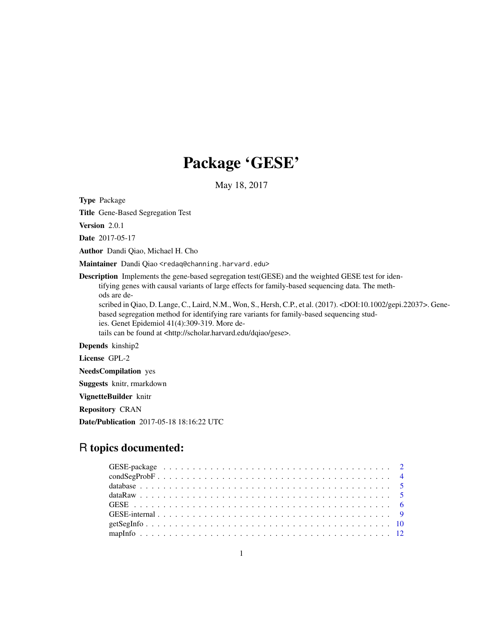# Package 'GESE'

May 18, 2017

Type Package

Title Gene-Based Segregation Test

Version 2.0.1

Date 2017-05-17

Author Dandi Qiao, Michael H. Cho

Maintainer Dandi Qiao <redaq@channing.harvard.edu>

Description Implements the gene-based segregation test(GESE) and the weighted GESE test for identifying genes with causal variants of large effects for family-based sequencing data. The methods are de-

scribed in Qiao, D. Lange, C., Laird, N.M., Won, S., Hersh, C.P., et al. (2017). <DOI:10.1002/gepi.22037>. Genebased segregation method for identifying rare variants for family-based sequencing studies. Genet Epidemiol 41(4):309-319. More de-

tails can be found at <http://scholar.harvard.edu/dqiao/gese>.

Depends kinship2

License GPL-2

NeedsCompilation yes

Suggests knitr, rmarkdown

VignetteBuilder knitr

Repository CRAN

Date/Publication 2017-05-18 18:16:22 UTC

# R topics documented: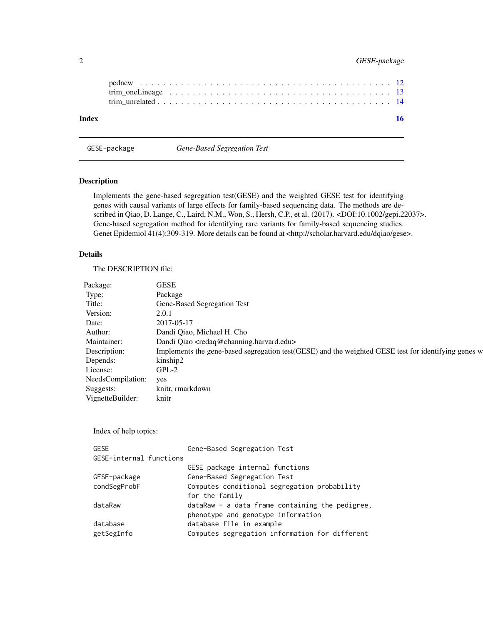<span id="page-1-0"></span>

| Index |  |  |  |  |  |  |  |  |  |  |  |  |  |  | 16 |
|-------|--|--|--|--|--|--|--|--|--|--|--|--|--|--|----|

GESE-package *Gene-Based Segregation Test*

# Description

Implements the gene-based segregation test(GESE) and the weighted GESE test for identifying genes with causal variants of large effects for family-based sequencing data. The methods are described in Qiao, D. Lange, C., Laird, N.M., Won, S., Hersh, C.P., et al. (2017). <DOI:10.1002/gepi.22037>. Gene-based segregation method for identifying rare variants for family-based sequencing studies. Genet Epidemiol 41(4):309-319. More details can be found at <http://scholar.harvard.edu/dqiao/gese>.

# Details

The DESCRIPTION file:

| Package:               | <b>GESE</b>                                                                                         |
|------------------------|-----------------------------------------------------------------------------------------------------|
| Type:                  | Package                                                                                             |
| Title:                 | Gene-Based Segregation Test                                                                         |
| Version:               | 2.0.1                                                                                               |
| Date:                  | 2017-05-17                                                                                          |
| Author:                | Dandi Qiao, Michael H. Cho                                                                          |
| Maintainer:            | Dandi Qiao <redaq@channing.harvard.edu></redaq@channing.harvard.edu>                                |
| Description:           | Implements the gene-based segregation test(GESE) and the weighted GESE test for identifying genes w |
| Depends:               | kinship2                                                                                            |
| License:               | GPL-2                                                                                               |
| NeedsCompilation: yes  |                                                                                                     |
| Suggests:              | knitr, rmarkdown                                                                                    |
| VignetteBuilder: knitr |                                                                                                     |

Index of help topics:

| <b>GESE</b>             | Gene-Based Segregation Test                     |
|-------------------------|-------------------------------------------------|
| GESE-internal functions |                                                 |
|                         | GESE package internal functions                 |
| GESE-package            | Gene-Based Segregation Test                     |
| condSegProbF            | Computes conditional segregation probability    |
|                         | for the family                                  |
| dataRaw                 | dataRaw - a data frame containing the pedigree, |
|                         | phenotype and genotype information              |
| database                | database file in example                        |
| getSegInfo              | Computes segregation information for different  |
|                         |                                                 |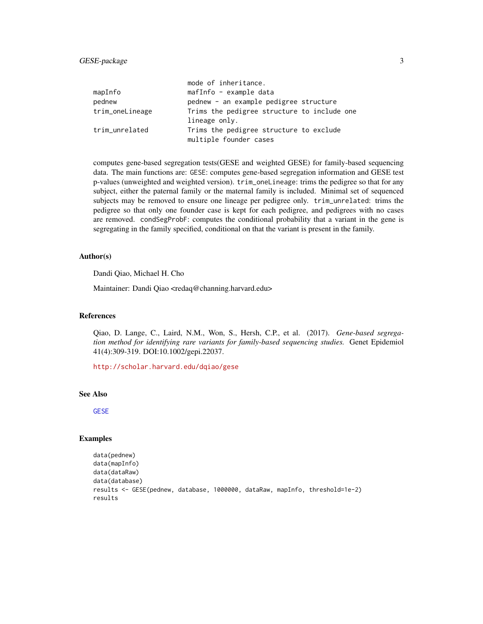# <span id="page-2-0"></span>GESE-package 3

|                 | mode of inheritance.                        |
|-----------------|---------------------------------------------|
| mapInfo         | mafInfo - example data                      |
| pednew          | pednew - an example pedigree structure      |
| trim_oneLineage | Trims the pedigree structure to include one |
|                 | lineage only.                               |
| trim_unrelated  | Trims the pedigree structure to exclude     |
|                 | multiple founder cases                      |

computes gene-based segregation tests(GESE and weighted GESE) for family-based sequencing data. The main functions are: GESE: computes gene-based segregation information and GESE test p-values (unweighted and weighted version). trim\_oneLineage: trims the pedigree so that for any subject, either the paternal family or the maternal family is included. Minimal set of sequenced subjects may be removed to ensure one lineage per pedigree only. trim\_unrelated: trims the pedigree so that only one founder case is kept for each pedigree, and pedigrees with no cases are removed. condSegProbF: computes the conditional probability that a variant in the gene is segregating in the family specified, conditional on that the variant is present in the family.

# Author(s)

Dandi Qiao, Michael H. Cho

Maintainer: Dandi Qiao <redaq@channing.harvard.edu>

#### References

Qiao, D. Lange, C., Laird, N.M., Won, S., Hersh, C.P., et al. (2017). *Gene-based segregation method for identifying rare variants for family-based sequencing studies.* Genet Epidemiol 41(4):309-319. DOI:10.1002/gepi.22037.

<http://scholar.harvard.edu/dqiao/gese>

#### See Also

[GESE](#page-5-1)

```
data(pednew)
data(mapInfo)
data(dataRaw)
data(database)
results <- GESE(pednew, database, 1000000, dataRaw, mapInfo, threshold=1e-2)
results
```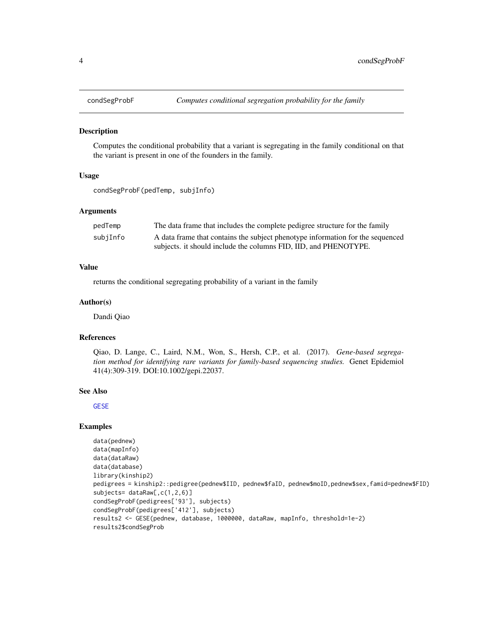<span id="page-3-0"></span>

#### Description

Computes the conditional probability that a variant is segregating in the family conditional on that the variant is present in one of the founders in the family.

#### Usage

```
condSegProbF(pedTemp, subjInfo)
```
# Arguments

| pedTemp  | The data frame that includes the complete pedigree structure for the family    |
|----------|--------------------------------------------------------------------------------|
| subjInfo | A data frame that contains the subject phenotype information for the sequenced |
|          | subjects, it should include the columns FID, IID, and PHENOTYPE.               |

# Value

returns the conditional segregating probability of a variant in the family

#### Author(s)

Dandi Qiao

#### References

Qiao, D. Lange, C., Laird, N.M., Won, S., Hersh, C.P., et al. (2017). *Gene-based segregation method for identifying rare variants for family-based sequencing studies.* Genet Epidemiol 41(4):309-319. DOI:10.1002/gepi.22037.

#### See Also

**[GESE](#page-5-1)** 

```
data(pednew)
data(mapInfo)
data(dataRaw)
data(database)
library(kinship2)
pedigrees = kinship2::pedigree(pednew$IID, pednew$faID, pednew$moID,pednew$sex,famid=pednew$FID)
subjects= dataRaw[, c(1, 2, 6)]
condSegProbF(pedigrees['93'], subjects)
condSegProbF(pedigrees['412'], subjects)
results2 <- GESE(pednew, database, 1000000, dataRaw, mapInfo, threshold=1e-2)
results2$condSegProb
```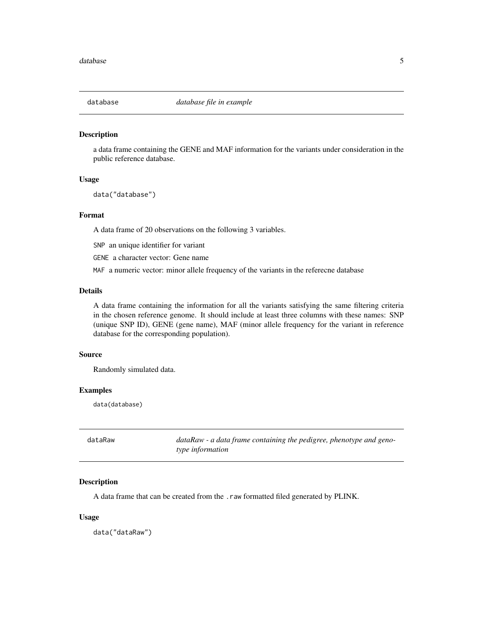<span id="page-4-0"></span>

#### Description

a data frame containing the GENE and MAF information for the variants under consideration in the public reference database.

#### Usage

data("database")

#### Format

A data frame of 20 observations on the following 3 variables.

SNP an unique identifier for variant

GENE a character vector: Gene name

MAF a numeric vector: minor allele frequency of the variants in the referecne database

# Details

A data frame containing the information for all the variants satisfying the same filtering criteria in the chosen reference genome. It should include at least three columns with these names: SNP (unique SNP ID), GENE (gene name), MAF (minor allele frequency for the variant in reference database for the corresponding population).

# Source

Randomly simulated data.

#### Examples

data(database)

dataRaw *dataRaw - a data frame containing the pedigree, phenotype and genotype information*

# Description

A data frame that can be created from the .raw formatted filed generated by PLINK.

#### Usage

data("dataRaw")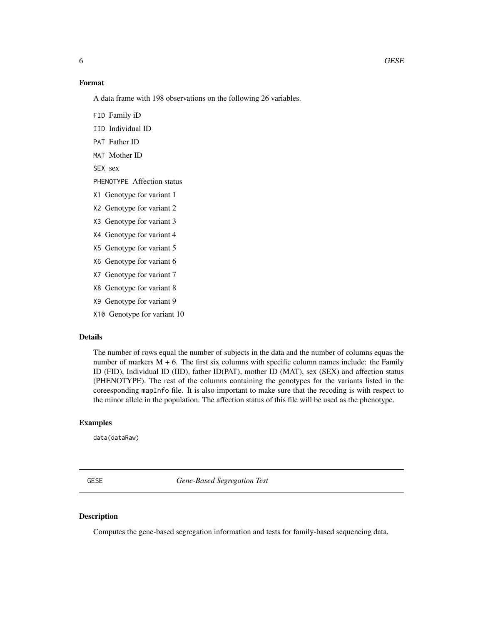# <span id="page-5-0"></span>Format

A data frame with 198 observations on the following 26 variables.

FID Family iD

IID Individual ID

PAT Father ID

MAT Mother ID

SEX sex

PHENOTYPE Affection status

X1 Genotype for variant 1

X2 Genotype for variant 2

X3 Genotype for variant 3

X4 Genotype for variant 4

X5 Genotype for variant 5

X6 Genotype for variant 6

X7 Genotype for variant 7

X8 Genotype for variant 8

X9 Genotype for variant 9

X10 Genotype for variant 10

#### Details

The number of rows equal the number of subjects in the data and the number of columns equas the number of markers  $M + 6$ . The first six columns with specific column names include: the Family ID (FID), Individual ID (IID), father ID(PAT), mother ID (MAT), sex (SEX) and affection status (PHENOTYPE). The rest of the columns containing the genotypes for the variants listed in the coreesponding mapInfo file. It is also important to make sure that the recoding is with respect to the minor allele in the population. The affection status of this file will be used as the phenotype.

#### Examples

data(dataRaw)

<span id="page-5-1"></span>GESE *Gene-Based Segregation Test*

### Description

Computes the gene-based segregation information and tests for family-based sequencing data.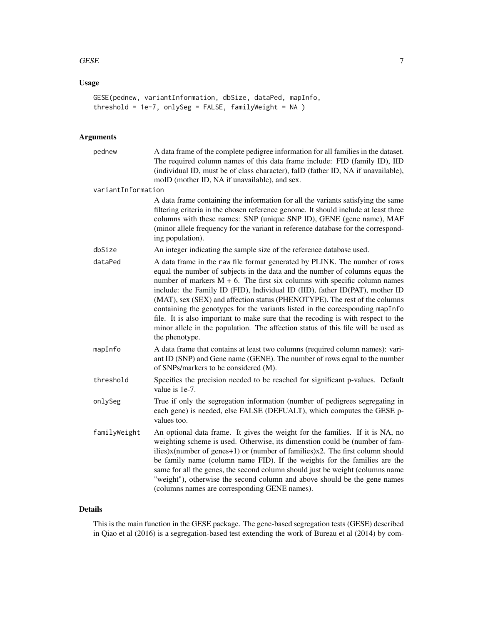#### $GESE$  7

# Usage

```
GESE(pednew, variantInformation, dbSize, dataPed, mapInfo,
threshold = 1e-7, onlySeg = FALSE, familyWeight = NA )
```
# Arguments

| pednew             | A data frame of the complete pedigree information for all families in the dataset.<br>The required column names of this data frame include: FID (family ID), IID<br>(individual ID, must be of class character), faID (father ID, NA if unavailable),<br>moID (mother ID, NA if unavailable), and sex.                                                                                                                                                                                                                                                                                                                                                                               |
|--------------------|--------------------------------------------------------------------------------------------------------------------------------------------------------------------------------------------------------------------------------------------------------------------------------------------------------------------------------------------------------------------------------------------------------------------------------------------------------------------------------------------------------------------------------------------------------------------------------------------------------------------------------------------------------------------------------------|
| variantInformation |                                                                                                                                                                                                                                                                                                                                                                                                                                                                                                                                                                                                                                                                                      |
|                    | A data frame containing the information for all the variants satisfying the same<br>filtering criteria in the chosen reference genome. It should include at least three<br>columns with these names: SNP (unique SNP ID), GENE (gene name), MAF<br>(minor allele frequency for the variant in reference database for the correspond-<br>ing population).                                                                                                                                                                                                                                                                                                                             |
| dbSize             | An integer indicating the sample size of the reference database used.                                                                                                                                                                                                                                                                                                                                                                                                                                                                                                                                                                                                                |
| dataPed            | A data frame in the raw file format generated by PLINK. The number of rows<br>equal the number of subjects in the data and the number of columns equas the<br>number of markers $M + 6$ . The first six columns with specific column names<br>include: the Family ID (FID), Individual ID (IID), father ID(PAT), mother ID<br>(MAT), sex (SEX) and affection status (PHENOTYPE). The rest of the columns<br>containing the genotypes for the variants listed in the coreesponding mapInfo<br>file. It is also important to make sure that the recoding is with respect to the<br>minor allele in the population. The affection status of this file will be used as<br>the phenotype. |
| mapInfo            | A data frame that contains at least two columns (required column names): vari-<br>ant ID (SNP) and Gene name (GENE). The number of rows equal to the number<br>of SNPs/markers to be considered (M).                                                                                                                                                                                                                                                                                                                                                                                                                                                                                 |
| threshold          | Specifies the precision needed to be reached for significant p-values. Default<br>value is 1e-7.                                                                                                                                                                                                                                                                                                                                                                                                                                                                                                                                                                                     |
| onlySeg            | True if only the segregation information (number of pedigrees segregating in<br>each gene) is needed, else FALSE (DEFUALT), which computes the GESE p-<br>values too.                                                                                                                                                                                                                                                                                                                                                                                                                                                                                                                |
| familyWeight       | An optional data frame. It gives the weight for the families. If it is NA, no<br>weighting scheme is used. Otherwise, its dimenstion could be (number of fam-<br>ilies)x(number of genes+1) or (number of families)x2. The first column should<br>be family name (column name FID). If the weights for the families are the<br>same for all the genes, the second column should just be weight (columns name<br>"weight"), otherwise the second column and above should be the gene names<br>(columns names are corresponding GENE names).                                                                                                                                           |

# Details

This is the main function in the GESE package. The gene-based segregation tests (GESE) described in Qiao et al (2016) is a segregation-based test extending the work of Bureau et al (2014) by com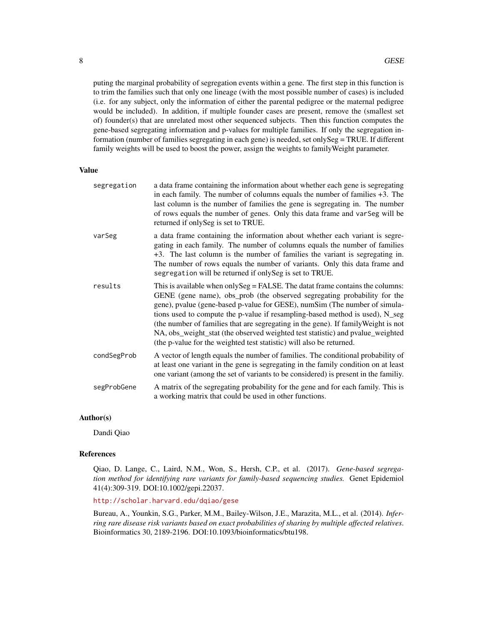puting the marginal probability of segregation events within a gene. The first step in this function is to trim the families such that only one lineage (with the most possible number of cases) is included (i.e. for any subject, only the information of either the parental pedigree or the maternal pedigree would be included). In addition, if multiple founder cases are present, remove the (smallest set of) founder(s) that are unrelated most other sequenced subjects. Then this function computes the gene-based segregating information and p-values for multiple families. If only the segregation information (number of families segregating in each gene) is needed, set onlySeg = TRUE. If different family weights will be used to boost the power, assign the weights to familyWeight parameter.

#### Value

| segregation | a data frame containing the information about whether each gene is segregating<br>in each family. The number of columns equals the number of families $+3$ . The<br>last column is the number of families the gene is segregating in. The number<br>of rows equals the number of genes. Only this data frame and var Seg will be<br>returned if only Seg is set to TRUE.                                                                                                                                                                                                 |
|-------------|--------------------------------------------------------------------------------------------------------------------------------------------------------------------------------------------------------------------------------------------------------------------------------------------------------------------------------------------------------------------------------------------------------------------------------------------------------------------------------------------------------------------------------------------------------------------------|
| varSeg      | a data frame containing the information about whether each variant is segre-<br>gating in each family. The number of columns equals the number of families<br>+3. The last column is the number of families the variant is segregating in.<br>The number of rows equals the number of variants. Only this data frame and<br>segregation will be returned if only Seg is set to TRUE.                                                                                                                                                                                     |
| results     | This is available when only Seg = FALSE. The datat frame contains the columns:<br>GENE (gene name), obs_prob (the observed segregating probability for the<br>gene), pvalue (gene-based p-value for GESE), numSim (The number of simula-<br>tions used to compute the p-value if resampling-based method is used), N_seg<br>(the number of families that are segregating in the gene). If family Weight is not<br>NA, obs_weight_stat (the observed weighted test statistic) and pvalue_weighted<br>(the p-value for the weighted test statistic) will also be returned. |
| condSegProb | A vector of length equals the number of families. The conditional probability of<br>at least one variant in the gene is segregating in the family condition on at least<br>one variant (among the set of variants to be considered) is present in the familiy.                                                                                                                                                                                                                                                                                                           |
| segProbGene | A matrix of the segregating probability for the gene and for each family. This is<br>a working matrix that could be used in other functions.                                                                                                                                                                                                                                                                                                                                                                                                                             |

#### Author(s)

Dandi Qiao

# References

Qiao, D. Lange, C., Laird, N.M., Won, S., Hersh, C.P., et al. (2017). *Gene-based segregation method for identifying rare variants for family-based sequencing studies.* Genet Epidemiol 41(4):309-319. DOI:10.1002/gepi.22037.

#### <http://scholar.harvard.edu/dqiao/gese>

Bureau, A., Younkin, S.G., Parker, M.M., Bailey-Wilson, J.E., Marazita, M.L., et al. (2014). *Inferring rare disease risk variants based on exact probabilities of sharing by multiple affected relatives*. Bioinformatics 30, 2189-2196. DOI:10.1093/bioinformatics/btu198.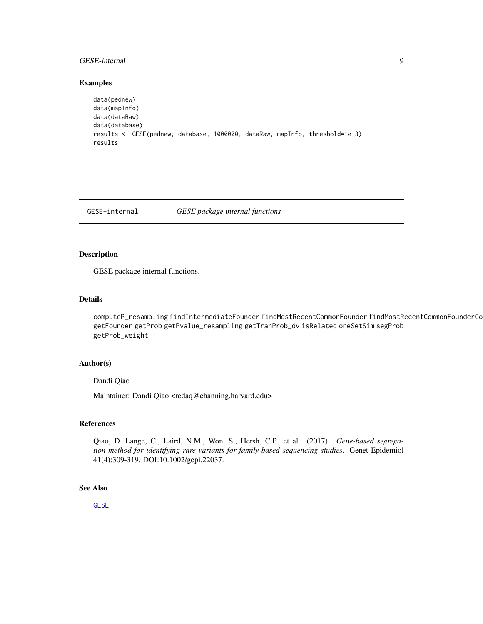# <span id="page-8-0"></span>GESE-internal 9

#### Examples

```
data(pednew)
data(mapInfo)
data(dataRaw)
data(database)
results <- GESE(pednew, database, 1000000, dataRaw, mapInfo, threshold=1e-3)
results
```
GESE-internal *GESE package internal functions*

#### Description

GESE package internal functions.

# Details

computeP\_resampling findIntermediateFounder findMostRecentCommonFounder findMostRecentCommonFounderCo getFounder getProb getPvalue\_resampling getTranProb\_dv isRelated oneSetSim segProb getProb\_weight

# Author(s)

Dandi Qiao

Maintainer: Dandi Qiao <redaq@channing.harvard.edu>

# References

Qiao, D. Lange, C., Laird, N.M., Won, S., Hersh, C.P., et al. (2017). *Gene-based segregation method for identifying rare variants for family-based sequencing studies.* Genet Epidemiol 41(4):309-319. DOI:10.1002/gepi.22037.

### See Also

[GESE](#page-5-1)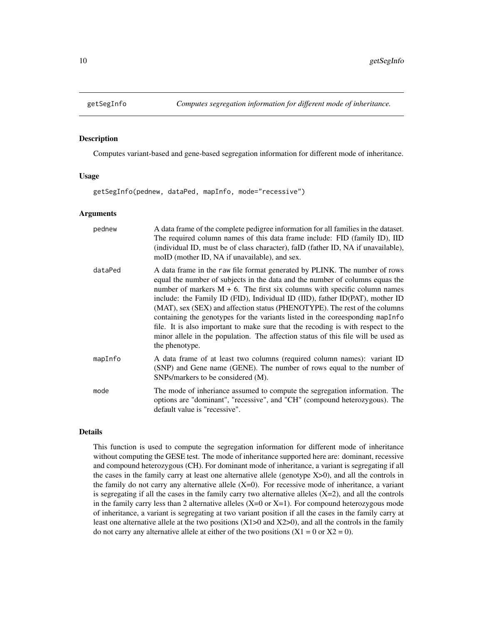<span id="page-9-0"></span>

#### **Description**

Computes variant-based and gene-based segregation information for different mode of inheritance.

#### Usage

getSegInfo(pednew, dataPed, mapInfo, mode="recessive")

#### Arguments

| pednew  | A data frame of the complete pedigree information for all families in the dataset.<br>The required column names of this data frame include: FID (family ID), IID<br>(individual ID, must be of class character), faID (father ID, NA if unavailable),<br>moID (mother ID, NA if unavailable), and sex.                                                                                                                                                                                                                                                                                                                                                                                |
|---------|---------------------------------------------------------------------------------------------------------------------------------------------------------------------------------------------------------------------------------------------------------------------------------------------------------------------------------------------------------------------------------------------------------------------------------------------------------------------------------------------------------------------------------------------------------------------------------------------------------------------------------------------------------------------------------------|
| dataPed | A data frame in the raw file format generated by PLINK. The number of rows<br>equal the number of subjects in the data and the number of columns equas the<br>number of markers $M + 6$ . The first six columns with specific column names<br>include: the Family ID (FID), Individual ID (IID), father ID(PAT), mother ID<br>(MAT), sex (SEX) and affection status (PHENOTYPE). The rest of the columns<br>containing the genotypes for the variants listed in the coreesponding map Info<br>file. It is also important to make sure that the recoding is with respect to the<br>minor allele in the population. The affection status of this file will be used as<br>the phenotype. |
| mapInfo | A data frame of at least two columns (required column names): variant ID<br>(SNP) and Gene name (GENE). The number of rows equal to the number of<br>SNPs/markers to be considered (M).                                                                                                                                                                                                                                                                                                                                                                                                                                                                                               |
| mode    | The mode of inheriance assumed to compute the segregation information. The<br>options are "dominant", "recessive", and "CH" (compound heterozygous). The<br>default value is "recessive".                                                                                                                                                                                                                                                                                                                                                                                                                                                                                             |

# Details

This function is used to compute the segregation information for different mode of inheritance without computing the GESE test. The mode of inheritance supported here are: dominant, recessive and compound heterozygous (CH). For dominant mode of inheritance, a variant is segregating if all the cases in the family carry at least one alternative allele (genotype X>0), and all the controls in the family do not carry any alternative allele  $(X=0)$ . For recessive mode of inheritance, a variant is segregating if all the cases in the family carry two alternative alleles  $(X=2)$ , and all the controls in the family carry less than 2 alternative alleles  $(X=0 \text{ or } X=1)$ . For compound heterozygous mode of inheritance, a variant is segregating at two variant position if all the cases in the family carry at least one alternative allele at the two positions  $(X1>0$  and  $X2>0$ ), and all the controls in the family do not carry any alternative allele at either of the two positions  $(X1 = 0$  or  $X2 = 0)$ .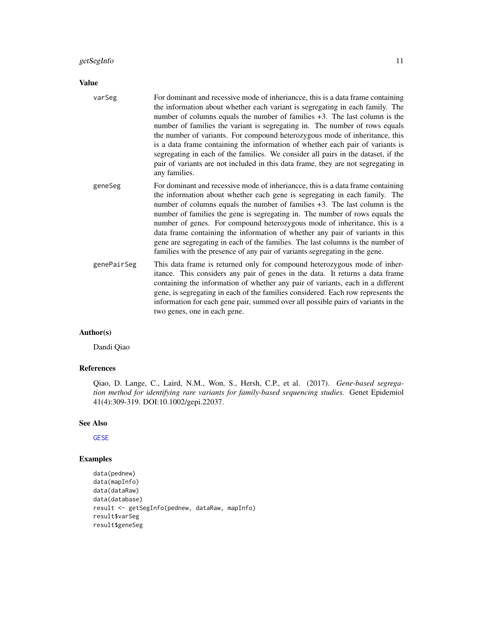#### <span id="page-10-0"></span>getSegInfo and the set of the set of the set of the set of the set of the set of the set of the set of the set of the set of the set of the set of the set of the set of the set of the set of the set of the set of the set o

#### Value

varSeg For dominant and recessive mode of inheriancce, this is a data frame containing the information about whether each variant is segregating in each family. The number of columns equals the number of families +3. The last column is the number of families the variant is segregating in. The number of rows equals the number of variants. For compound heterozygous mode of inheritance, this is a data frame containing the information of whether each pair of variants is segregating in each of the families. We consider all pairs in the dataset, if the pair of variants are not included in this data frame, they are not segregating in any families. geneSeg For dominant and recessive mode of inheriancce, this is a data frame containing the information about whether each gene is segregating in each family. The number of columns equals the number of families +3. The last column is the number of families the gene is segregating in. The number of rows equals the

- number of genes. For compound heterozygous mode of inheritance, this is a data frame containing the information of whether any pair of variants in this gene are segregating in each of the families. The last columns is the number of families with the presence of any pair of variants segregating in the gene.
- genePairSeg This data frame is returned only for compound heterozygous mode of inheritance. This considers any pair of genes in the data. It returns a data frame containing the information of whether any pair of variants, each in a different gene, is segregating in each of the families considered. Each row represents the information for each gene pair, summed over all possible pairs of variants in the two genes, one in each gene.

#### Author(s)

Dandi Qiao

# References

Qiao, D. Lange, C., Laird, N.M., Won, S., Hersh, C.P., et al. (2017). *Gene-based segregation method for identifying rare variants for family-based sequencing studies.* Genet Epidemiol 41(4):309-319. DOI:10.1002/gepi.22037.

#### See Also

**[GESE](#page-5-1)** 

```
data(pednew)
data(mapInfo)
data(dataRaw)
data(database)
result <- getSegInfo(pednew, dataRaw, mapInfo)
result$varSeg
result$geneSeg
```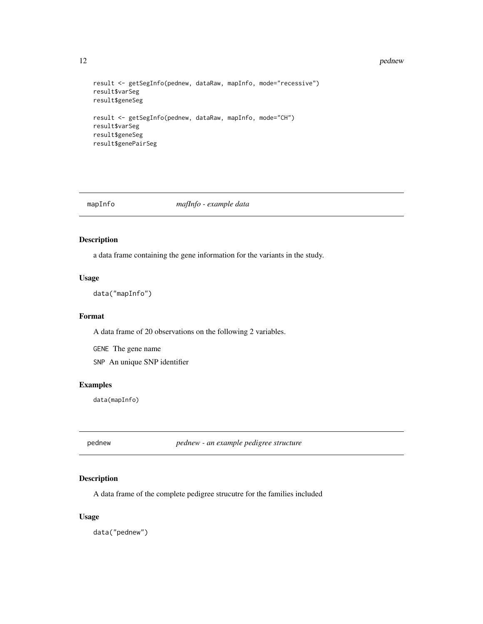#### 12 pednew and the pednew set of the set of the set of the set of the set of the set of the set of the set of the set of the set of the set of the set of the set of the set of the set of the set of the set of the set of the

```
result <- getSegInfo(pednew, dataRaw, mapInfo, mode="recessive")
result$varSeg
result$geneSeg
result <- getSegInfo(pednew, dataRaw, mapInfo, mode="CH")
result$varSeg
result$geneSeg
result$genePairSeg
```
#### mapInfo *mafInfo - example data*

# Description

a data frame containing the gene information for the variants in the study.

# Usage

data("mapInfo")

#### Format

A data frame of 20 observations on the following 2 variables.

GENE The gene name

SNP An unique SNP identifier

#### Examples

data(mapInfo)

pednew *pednew - an example pedigree structure*

# Description

A data frame of the complete pedigree strucutre for the families included

# Usage

data("pednew")

<span id="page-11-0"></span>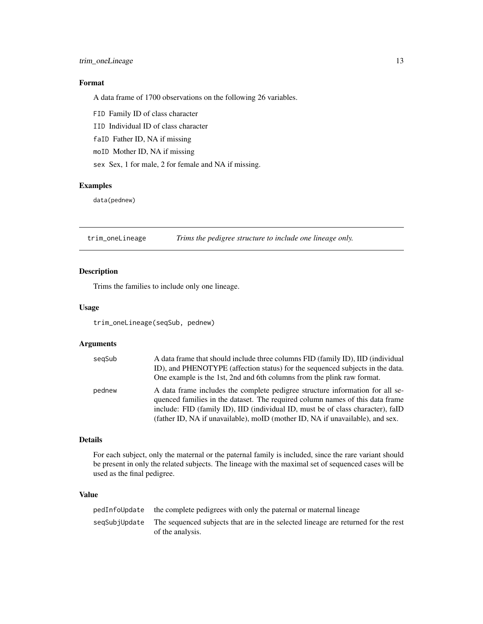# <span id="page-12-0"></span>trim\_oneLineage 13

# Format

A data frame of 1700 observations on the following 26 variables.

FID Family ID of class character

IID Individual ID of class character

faID Father ID, NA if missing

moID Mother ID, NA if missing

sex Sex, 1 for male, 2 for female and NA if missing.

# Examples

data(pednew)

<span id="page-12-1"></span>trim\_oneLineage *Trims the pedigree structure to include one lineage only.*

# Description

Trims the families to include only one lineage.

### Usage

trim\_oneLineage(seqSub, pednew)

#### Arguments

| segSub | A data frame that should include three columns FID (family ID), IID (individual<br>ID), and PHENOTYPE (affection status) for the sequenced subjects in the data.<br>One example is the 1st, 2nd and 6th columns from the plink raw format.                                                                                         |
|--------|------------------------------------------------------------------------------------------------------------------------------------------------------------------------------------------------------------------------------------------------------------------------------------------------------------------------------------|
| pednew | A data frame includes the complete pedigree structure information for all se-<br>quenced families in the dataset. The required column names of this data frame<br>include: FID (family ID), IID (individual ID, must be of class character), faID<br>(father ID, NA if unavailable), moID (mother ID, NA if unavailable), and sex. |

# Details

For each subject, only the maternal or the paternal family is included, since the rare variant should be present in only the related subjects. The lineage with the maximal set of sequenced cases will be used as the final pedigree.

# Value

| pedInfoUpdate | the complete pedigrees with only the paternal or maternal lineage                                     |
|---------------|-------------------------------------------------------------------------------------------------------|
| segSubjUpdate | The sequenced subjects that are in the selected lineage are returned for the rest<br>of the analysis. |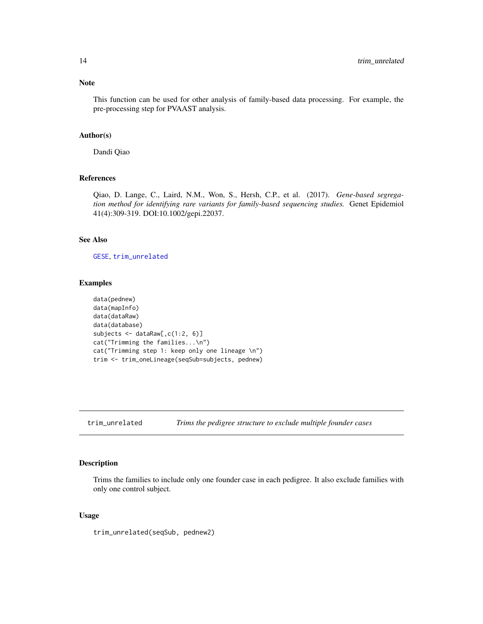<span id="page-13-0"></span>This function can be used for other analysis of family-based data processing. For example, the pre-processing step for PVAAST analysis.

#### Author(s)

Dandi Qiao

#### References

Qiao, D. Lange, C., Laird, N.M., Won, S., Hersh, C.P., et al. (2017). *Gene-based segregation method for identifying rare variants for family-based sequencing studies.* Genet Epidemiol 41(4):309-319. DOI:10.1002/gepi.22037.

# See Also

[GESE](#page-5-1), [trim\\_unrelated](#page-13-1)

#### Examples

```
data(pednew)
data(mapInfo)
data(dataRaw)
data(database)
subjects <- dataRaw[,c(1:2, 6)]
cat("Trimming the families...\n")
cat("Trimming step 1: keep only one lineage \n")
trim <- trim_oneLineage(seqSub=subjects, pednew)
```
<span id="page-13-1"></span>trim\_unrelated *Trims the pedigree structure to exclude multiple founder cases*

# Description

Trims the families to include only one founder case in each pedigree. It also exclude families with only one control subject.

#### Usage

trim\_unrelated(seqSub, pednew2)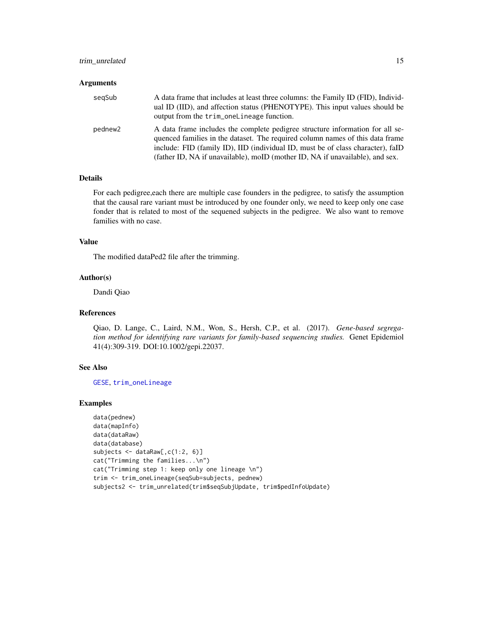# <span id="page-14-0"></span>trim\_unrelated 15

#### **Arguments**

| segSub  | A data frame that includes at least three columns: the Family ID (FID), Individ-<br>ual ID (IID), and affection status (PHENOTYPE). This input values should be<br>output from the trim_oneLineage function.                                      |
|---------|---------------------------------------------------------------------------------------------------------------------------------------------------------------------------------------------------------------------------------------------------|
| pednew2 | A data frame includes the complete pedigree structure information for all se-<br>quenced families in the dataset. The required column names of this data frame<br>include: FID (family ID), IID (individual ID, must be of class character), faID |
|         | (father ID, NA if unavailable), moID (mother ID, NA if unavailable), and sex.                                                                                                                                                                     |

# Details

For each pedigree,each there are multiple case founders in the pedigree, to satisfy the assumption that the causal rare variant must be introduced by one founder only, we need to keep only one case fonder that is related to most of the sequened subjects in the pedigree. We also want to remove families with no case.

# Value

The modified dataPed2 file after the trimming.

# Author(s)

Dandi Qiao

# References

Qiao, D. Lange, C., Laird, N.M., Won, S., Hersh, C.P., et al. (2017). *Gene-based segregation method for identifying rare variants for family-based sequencing studies.* Genet Epidemiol 41(4):309-319. DOI:10.1002/gepi.22037.

#### See Also

[GESE](#page-5-1), [trim\\_oneLineage](#page-12-1)

```
data(pednew)
data(mapInfo)
data(dataRaw)
data(database)
subjects <- dataRaw[,c(1:2, 6)]
cat("Trimming the families...\n")
cat("Trimming step 1: keep only one lineage \n")
trim <- trim_oneLineage(seqSub=subjects, pednew)
subjects2 <- trim_unrelated(trim$seqSubjUpdate, trim$pedInfoUpdate)
```